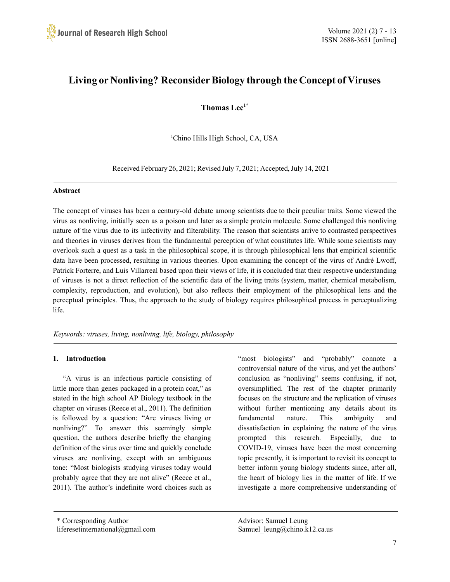

# **Living or Nonliving? Reconsider Biology through the Concept of Viruses**

**Thomas Lee1\***

<sup>1</sup>Chino Hills High School, CA, USA

Received February 26, 2021; Revised July 7, 2021; Accepted, July 14, 2021

#### **Abstract**

The concept of viruses has been a century-old debate among scientists due to their peculiar traits. Some viewed the virus as nonliving, initially seen as a poison and later as a simple protein molecule. Some challenged this nonliving nature of the virus due to its infectivity and filterability. The reason that scientists arrive to contrasted perspectives and theories in viruses derives from the fundamental perception of what constitutes life. While some scientists may overlook such a quest as a task in the philosophical scope, it is through philosophical lens that empirical scientific data have been processed, resulting in various theories. Upon examining the concept of the virus of André Lwoff, Patrick Forterre, and Luis Villarreal based upon their views of life, it is concluded that their respective understanding of viruses is not a direct reflection of the scientific data of the living traits (system, matter, chemical metabolism, complexity, reproduction, and evolution), but also reflects their employment of the philosophical lens and the perceptual principles. Thus, the approach to the study of biology requires philosophical process in perceptualizing life.

*Keywords: viruses, living, nonliving, life, biology, philosophy*

## **1. Introduction**

"A virus is an infectious particle consisting of little more than genes packaged in a protein coat," as stated in the high school AP Biology textbook in the chapter on viruses (Reece et al., 2011). The definition is followed by a question: "Are viruses living or nonliving?" To answer this seemingly simple question, the authors describe briefly the changing definition of the virus over time and quickly conclude viruses are nonliving, except with an ambiguous tone: "Most biologists studying viruses today would probably agree that they are not alive" (Reece et al., 2011). The author's indefinite word choices such as

"most biologists" and "probably" connote a controversial nature of the virus, and yet the authors' conclusion as "nonliving" seems confusing, if not, oversimplified. The rest of the chapter primarily focuses on the structure and the replication of viruses without further mentioning any details about its fundamental nature. This ambiguity and dissatisfaction in explaining the nature of the virus prompted this research. Especially, due to COVID-19, viruses have been the most concerning topic presently, it is important to revisit its concept to better inform young biology students since, after all, the heart of biology lies in the matter of life. If we investigate a more comprehensive understanding of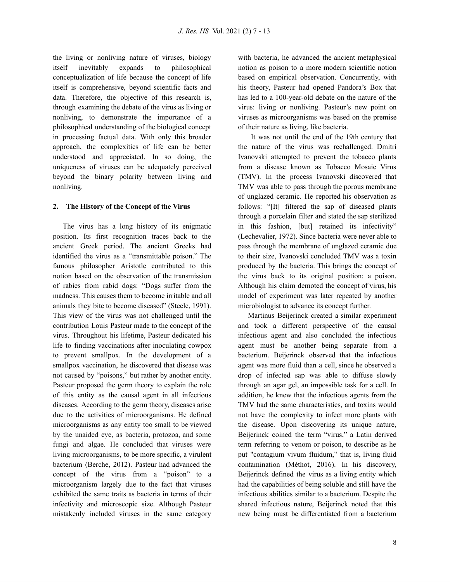the living or nonliving nature of viruses, biology itself inevitably expands to philosophical conceptualization of life because the concept of life itself is comprehensive, beyond scientific facts and data. Therefore, the objective of this research is, through examining the debate of the virus as living or nonliving, to demonstrate the importance of a philosophical understanding of the biological concept in processing factual data. With only this broader approach, the complexities of life can be better understood and appreciated. In so doing, the uniqueness of viruses can be adequately perceived beyond the binary polarity between living and nonliving.

## **2. The History of the Concept of the Virus**

The virus has a long history of its enigmatic position. Its first recognition traces back to the ancient Greek period. The ancient Greeks had identified the virus as a "transmittable poison." The famous philosopher Aristotle contributed to this notion based on the observation of the transmission of rabies from rabid dogs: "Dogs suffer from the madness. This causes them to become irritable and all animals they bite to become diseased" (Steele, 1991). This view of the virus was not challenged until the contribution Louis Pasteur made to the concept of the virus. Throughout his lifetime, Pasteur dedicated his life to finding vaccinations after inoculating cowpox to prevent smallpox. In the development of a smallpox vaccination, he discovered that disease was not caused by "poisons," but rather by another entity. Pasteur proposed the germ theory to explain the role of this entity as the causal agent in all infectious diseases. According to the germ theory, diseases arise due to the activities of microorganisms. He defined microorganisms as any entity too small to be viewed by the unaided eye, as bacteria, protozoa, and some fungi and algae. He concluded that viruses were living microorganisms, to be more specific, a virulent bacterium (Berche, 2012). Pasteur had advanced the concept of the virus from a "poison" to a microorganism largely due to the fact that viruses exhibited the same traits as bacteria in terms of their infectivity and microscopic size. Although Pasteur mistakenly included viruses in the same category

with bacteria, he advanced the ancient metaphysical notion as poison to a more modern scientific notion based on empirical observation. Concurrently, with his theory, Pasteur had opened Pandora's Box that has led to a 100-year-old debate on the nature of the virus: living or nonliving. Pasteur's new point on viruses as microorganisms was based on the premise of their nature as living, like bacteria.

It was not until the end of the 19th century that the nature of the virus was rechallenged. Dmitri Ivanovski attempted to prevent the tobacco plants from a disease known as Tobacco Mosaic Virus (TMV). In the process Ivanovski discovered that TMV was able to pass through the porous membrane of unglazed ceramic. He reported his observation as follows: "[It] filtered the sap of diseased plants through a porcelain filter and stated the sap sterilized in this fashion, [but] retained its infectivity" (Lechevalier, 1972). Since bacteria were never able to pass through the membrane of unglazed ceramic due to their size, Ivanovski concluded TMV was a toxin produced by the bacteria. This brings the concept of the virus back to its original position: a poison. Although his claim demoted the concept of virus, his model of experiment was later repeated by another microbiologist to advance its concept further.

Martinus Beijerinck created a similar experiment and took a different perspective of the causal infectious agent and also concluded the infectious agent must be another being separate from a bacterium. Beijerinck observed that the infectious agent was more fluid than a cell, since he observed a drop of infected sap was able to diffuse slowly through an agar gel, an impossible task for a cell. In addition, he knew that the infectious agents from the TMV had the same characteristics, and toxins would not have the complexity to infect more plants with the disease. Upon discovering its unique nature, Beijerinck coined the term "virus," a Latin derived term referring to venom or poison, to describe as he put "contagium vivum fluidum," that is, living fluid contamination (Méthot, 2016). In his discovery, Beijerinck defined the virus as a living entity which had the capabilities of being soluble and still have the infectious abilities similar to a bacterium. Despite the shared infectious nature, Beijerinck noted that this new being must be differentiated from a bacterium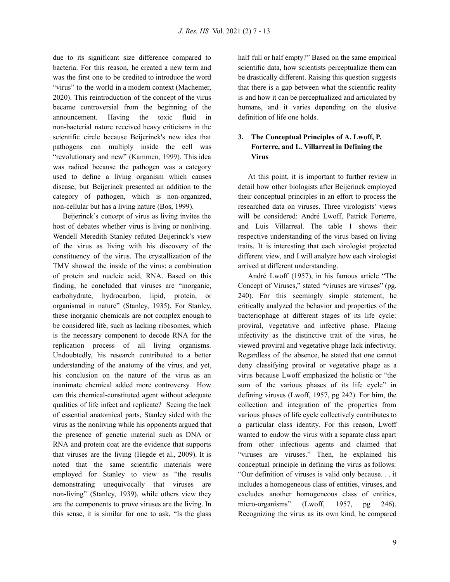due to its significant size difference compared to bacteria. For this reason, he created a new term and was the first one to be credited to introduce the word "virus" to the world in a modern context (Machemer, 2020). This reintroduction of the concept of the virus became controversial from the beginning of the announcement. Having the toxic fluid in non-bacterial nature received heavy criticisms in the scientific circle because Beijerinck's new idea that pathogens can multiply inside the cell was "revolutionary and new" (Kammen, 1999). This idea was radical because the pathogen was a category used to define a living organism which causes disease, but Beijerinck presented an addition to the category of pathogen, which is non-organized, non-cellular but has a living nature (Bos, 1999).

Beijerinck's concept of virus as living invites the host of debates whether virus is living or nonliving. Wendell Meredith Stanley refuted Beijerinck's view of the virus as living with his discovery of the constituency of the virus. The crystallization of the TMV showed the inside of the virus: a combination of protein and nucleic acid, RNA. Based on this finding, he concluded that viruses are "inorganic, carbohydrate, hydrocarbon, lipid, protein, or organismal in nature" (Stanley, 1935). For Stanley, these inorganic chemicals are not complex enough to be considered life, such as lacking ribosomes, which is the necessary component to decode RNA for the replication process of all living organisms. Undoubtedly, his research contributed to a better understanding of the anatomy of the virus, and yet, his conclusion on the nature of the virus as an inanimate chemical added more controversy. How can this chemical-constituted agent without adequate qualities of life infect and replicate? Seeing the lack of essential anatomical parts, Stanley sided with the virus as the nonliving while his opponents argued that the presence of genetic material such as DNA or RNA and protein coat are the evidence that supports that viruses are the living (Hegde et al., 2009). It is noted that the same scientific materials were employed for Stanley to view as "the results demonstrating unequivocally that viruses are non-living" (Stanley, 1939), while others view they are the components to prove viruses are the living. In this sense, it is similar for one to ask, "Is the glass

half full or half empty?" Based on the same empirical scientific data, how scientists perceptualize them can be drastically different. Raising this question suggests that there is a gap between what the scientific reality is and how it can be perceptualized and articulated by humans, and it varies depending on the elusive definition of life one holds.

# **3. The Conceptual Principles of A. Lwoff, P. Forterre, and L. Villarreal in Defining the Virus**

At this point, it is important to further review in detail how other biologists after Beijerinck employed their conceptual principles in an effort to process the researched data on viruses. Three virologists' views will be considered: André Lwoff, Patrick Forterre, and Luis Villarreal. The table 1 shows their respective understanding of the virus based on living traits. It is interesting that each virologist projected different view, and I will analyze how each virologist arrived at different understanding.

André Lwoff (1957), in his famous article "The Concept of Viruses," stated "viruses are viruses" (pg. 240). For this seemingly simple statement, he critically analyzed the behavior and properties of the bacteriophage at different stages of its life cycle: proviral, vegetative and infective phase. Placing infectivity as the distinctive trait of the virus, he viewed proviral and vegetative phage lack infectivity. Regardless of the absence, he stated that one cannot deny classifying proviral or vegetative phage as a virus because Lwoff emphasized the holistic or "the sum of the various phases of its life cycle" in defining viruses (Lwoff, 1957, pg 242). For him, the collection and integration of the properties from various phases of life cycle collectively contributes to a particular class identity. For this reason, Lwoff wanted to endow the virus with a separate class apart from other infectious agents and claimed that "viruses are viruses." Then, he explained his conceptual principle in defining the virus as follows: "Our definition of viruses is valid only because. . . it includes a homogeneous class of entities, viruses, and excludes another homogeneous class of entities, micro-organisms" (Lwoff, 1957, pg 246). Recognizing the virus as its own kind, he compared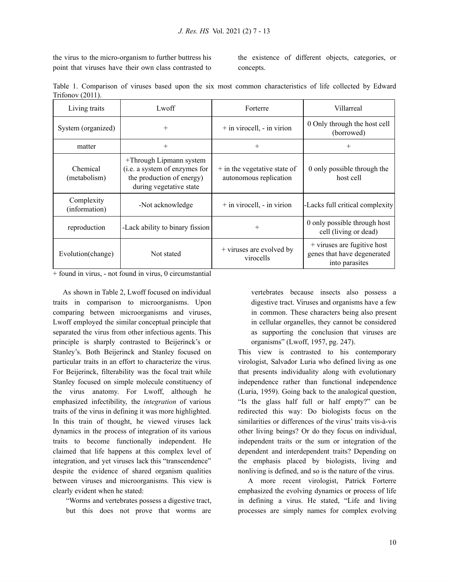the virus to the micro-organism to further buttress his point that viruses have their own class contrasted to

the existence of different objects, categories, or concepts.

Table 1. Comparison of viruses based upon the six most common characteristics of life collected by Edward Trifonov (2011).

| Living traits               | Lwoff                                                                                                            | Forterre                                                 | Villarreal                                                                     |  |
|-----------------------------|------------------------------------------------------------------------------------------------------------------|----------------------------------------------------------|--------------------------------------------------------------------------------|--|
| System (organized)          | $^{+}$                                                                                                           | $+$ in virocell, $-$ in virion                           | 0 Only through the host cell<br>(borrowed)                                     |  |
| matter                      | $^{+}$                                                                                                           | $^{+}$                                                   | $^{+}$                                                                         |  |
| Chemical<br>(metabolism)    | +Through Lipmann system<br>(i.e. a system of enzymes for<br>the production of energy)<br>during vegetative state | $+$ in the vegetative state of<br>autonomous replication | 0 only possible through the<br>host cell                                       |  |
| Complexity<br>(information) | -Not acknowledge                                                                                                 | $+$ in virocell, $-$ in virion                           | -Lacks full critical complexity                                                |  |
| reproduction                | -Lack ability to binary fission                                                                                  | $^{+}$                                                   | 0 only possible through host<br>cell (living or dead)                          |  |
| Evolution(change)           | Not stated                                                                                                       | + viruses are evolved by<br>virocells                    | $+$ viruses are fugitive host<br>genes that have degenerated<br>into parasites |  |

+ found in virus, - not found in virus, 0 circumstantial

As shown in Table 2, Lwoff focused on individual traits in comparison to microorganisms. Upon comparing between microorganisms and viruses, Lwoff employed the similar conceptual principle that separated the virus from other infectious agents. This principle is sharply contrasted to Beijerinck's or Stanley's. Both Beijerinck and Stanley focused on particular traits in an effort to characterize the virus. For Beijerinck, filterability was the focal trait while Stanley focused on simple molecule constituency of the virus anatomy. For Lwoff, although he emphasized infectibility, the *integration* of various traits of the virus in defining it was more highlighted. In this train of thought, he viewed viruses lack dynamics in the process of integration of its various traits to become functionally independent. He claimed that life happens at this complex level of integration, and yet viruses lack this "transcendence" despite the evidence of shared organism qualities between viruses and microorganisms. This view is clearly evident when he stated:

"Worms and vertebrates possess a digestive tract, but this does not prove that worms are

vertebrates because insects also possess a digestive tract. Viruses and organisms have a few in common. These characters being also present in cellular organelles, they cannot be considered as supporting the conclusion that viruses are organisms" (Lwoff, 1957, pg. 247).

This view is contrasted to his contemporary virologist, Salvador Luria who defined living as one that presents individuality along with evolutionary independence rather than functional independence (Luria, 1959). Going back to the analogical question, "Is the glass half full or half empty?" can be redirected this way: Do biologists focus on the similarities or differences of the virus' traits vis-à-vis other living beings? Or do they focus on individual, independent traits or the sum or integration of the dependent and interdependent traits? Depending on the emphasis placed by biologists, living and nonliving is defined, and so is the nature of the virus.

A more recent virologist, Patrick Forterre emphasized the evolving dynamics or process of life in defining a virus. He stated, "Life and living processes are simply names for complex evolving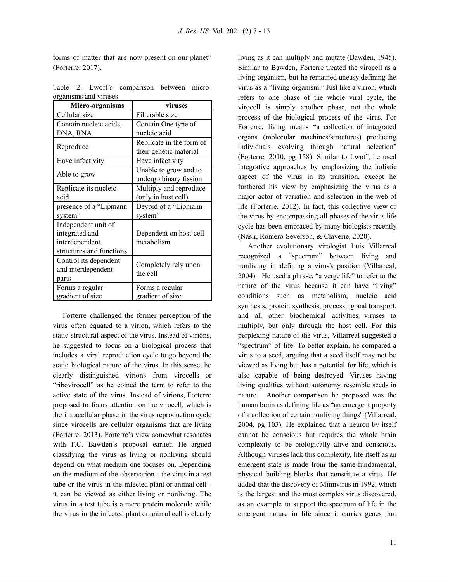forms of matter that are now present on our planet" (Forterre, 2017).

|  |                       | Table 2. Lwoff's comparison between micro- |  |
|--|-----------------------|--------------------------------------------|--|
|  | organisms and viruses |                                            |  |
|  |                       |                                            |  |

| Micro-organisms          | viruses                          |  |  |
|--------------------------|----------------------------------|--|--|
| Cellular size            | Filterable size                  |  |  |
| Contain nucleic acids,   | Contain One type of              |  |  |
| DNA, RNA                 | nucleic acid                     |  |  |
|                          | Replicate in the form of         |  |  |
| Reproduce                | their genetic material           |  |  |
| Have infectivity         | Have infectivity                 |  |  |
|                          | Unable to grow and to            |  |  |
| Able to grow             | undergo binary fission           |  |  |
| Replicate its nucleic    | Multiply and reproduce           |  |  |
| acid                     | (only in host cell)              |  |  |
| presence of a "Lipmann   | Devoid of a "Lipmann             |  |  |
| system"                  | system"                          |  |  |
| Independent unit of      |                                  |  |  |
| integrated and           | Dependent on host-cell           |  |  |
| interdependent           | metabolism                       |  |  |
| structures and functions |                                  |  |  |
| Control its dependent    |                                  |  |  |
| and interdependent       | Completely rely upon<br>the cell |  |  |
| parts                    |                                  |  |  |
| Forms a regular          | Forms a regular                  |  |  |
| gradient of size         | gradient of size                 |  |  |

Forterre challenged the former perception of the virus often equated to a virion, which refers to the static structural aspect of the virus. Instead of virions, he suggested to focus on a biological process that includes a viral reproduction cycle to go beyond the static biological nature of the virus. In this sense, he clearly distinguished virions from virocells or "ribovirocell" as he coined the term to refer to the active state of the virus. Instead of virions, Forterre proposed to focus attention on the virocell, which is the intracellular phase in the virus reproduction cycle since virocells are cellular organisms that are living (Forterre, 2013). Forterre's view somewhat resonates with F.C. Bawden's proposal earlier. He argued classifying the virus as living or nonliving should depend on what medium one focuses on. Depending on the medium of the observation - the virus in a test tube or the virus in the infected plant or animal cell it can be viewed as either living or nonliving. The virus in a test tube is a mere protein molecule while the virus in the infected plant or animal cell is clearly

living as it can multiply and mutate (Bawden, 1945). Similar to Bawden, Forterre treated the virocell as a living organism, but he remained uneasy defining the virus as a "living organism." Just like a virion, which refers to one phase of the whole viral cycle, the virocell is simply another phase, not the whole process of the biological process of the virus. For Forterre, living means "a collection of integrated organs (molecular machines/structures) producing individuals evolving through natural selection" (Forterre, 2010, pg 158). Similar to Lwoff, he used integrative approaches by emphasizing the holistic aspect of the virus in its transition, except he furthered his view by emphasizing the virus as a major actor of variation and selection in the web of life (Forterre, 2012). In fact, this collective view of the virus by encompassing all phases of the virus life cycle has been embraced by many biologists recently (Nasir, Romero-Severson, & Claverie, 2020).

Another evolutionary virologist Luis Villarreal recognized a "spectrum" between living and nonliving in defining a virus's position (Villarreal, 2004). He used a phrase, "a verge life" to refer to the nature of the virus because it can have "living" conditions such as metabolism, nucleic acid synthesis, protein synthesis, processing and transport, and all other biochemical activities viruses to multiply, but only through the host cell. For this perplexing nature of the virus, Villarreal suggested a "spectrum" of life. To better explain, he compared a virus to a seed, arguing that a seed itself may not be viewed as living but has a potential for life, which is also capable of being destroyed. Viruses having living qualities without autonomy resemble seeds in nature. Another comparison he proposed was the human brain as defining life as "an emergent property of a collection of certain nonliving things'' (Villarreal, 2004, pg 103). He explained that a neuron by itself cannot be conscious but requires the whole brain complexity to be biologically alive and conscious. Although viruses lack this complexity, life itself as an emergent state is made from the same fundamental, physical building blocks that constitute a virus. He added that the discovery of Mimivirus in 1992, which is the largest and the most complex virus discovered, as an example to support the spectrum of life in the emergent nature in life since it carries genes that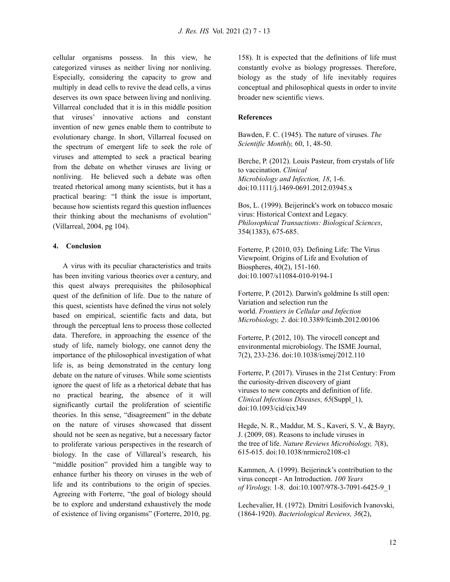cellular organisms possess. In this view, he categorized viruses as neither living nor nonliving. Especially, considering the capacity to grow and multiply in dead cells to revive the dead cells, a virus deserves its own space between living and nonliving. Villarreal concluded that it is in this middle position that viruses' innovative actions and constant invention of new genes enable them to contribute to evolutionary change. In short, Villarreal focused on the spectrum of emergent life to seek the role of viruses and attempted to seek a practical bearing from the debate on whether viruses are living or nonliving. He believed such a debate was often treated rhetorical among many scientists, but it has a practical bearing: "I think the issue is important, because how scientists regard this question influences their thinking about the mechanisms of evolution" (Villarreal, 2004, pg 104).

#### **4. Conclusion**

A virus with its peculiar characteristics and traits has been inviting various theories over a century, and this quest always prerequisites the philosophical quest of the definition of life. Due to the nature of this quest, scientists have defined the virus not solely based on empirical, scientific facts and data, but through the perceptual lens to process those collected data. Therefore, in approaching the essence of the study of life, namely biology, one cannot deny the importance of the philosophical investigation of what life is, as being demonstrated in the century long debate on the nature of viruses. While some scientists ignore the quest of life as a rhetorical debate that has no practical bearing, the absence of it will significantly curtail the proliferation of scientific theories. In this sense, "disagreement" in the debate on the nature of viruses showcased that dissent should not be seen as negative, but a necessary factor to proliferate various perspectives in the research of biology. In the case of Villareal's research, his "middle position" provided him a tangible way to enhance further his theory on viruses in the web of life and its contributions to the origin of species. Agreeing with Forterre, "the goal of biology should be to explore and understand exhaustively the mode of existence of living organisms" (Forterre, 2010, pg.

158). It is expected that the definitions of life must constantly evolve as biology progresses. Therefore, biology as the study of life inevitably requires conceptual and philosophical quests in order to invite broader new scientific views.

#### **References**

Bawden, F. C. (1945). The nature of viruses. *The Scientific Monthly,* 60, 1, 48-50.

Berche, P. (2012). Louis Pasteur, from crystals of life to vaccination. *Clinical Microbiology and Infection, 18*, 1-6. doi:10.1111/j.1469-0691.2012.03945.x

Bos, L. (1999). Beijerinck's work on tobacco mosaic virus: Historical Context and Legacy. *Philosophical Transactions: Biological Sciences*, 354(1383), 675-685.

Forterre, P. (2010, 03). Defining Life: The Virus Viewpoint. Origins of Life and Evolution of Biospheres, 40(2), 151-160. doi:10.1007/s11084-010-9194-1

Forterre, P. (2012). Darwin's goldmine Is still open: Variation and selection run the world. *Frontiers in Cellular and Infection Microbiology, 2*. doi:10.3389/fcimb.2012.00106

Forterre, P. (2012, 10). The virocell concept and environmental microbiology. The ISME Journal, 7(2), 233-236. doi:10.1038/ismej/2012.110

Forterre, P. (2017). Viruses in the 21st Century: From the curiosity-driven discovery of giant viruses to new concepts and definition of life. *Clinical Infectious Diseases, 65*(Suppl\_1), doi:10.1093/cid/cix349

Hegde, N. R., Maddur, M. S., Kaveri, S. V., & Bayry, J. (2009, 08). Reasons to include viruses in the tree of life. *Nature Reviews Microbiology, 7*(8), 615-615. doi:10.1038/nrmicro2108-c1

Kammen, A. (1999). Beijerinck's contribution to the virus concept - An Introduction. *100 Years of Virology,* 1-8. doi:10.1007/978-3-7091-6425-9\_1

Lechevalier, H. (1972). Dmitri Losifovich Ivanovski, (1864-1920). *Bacteriological Reviews, 36*(2),